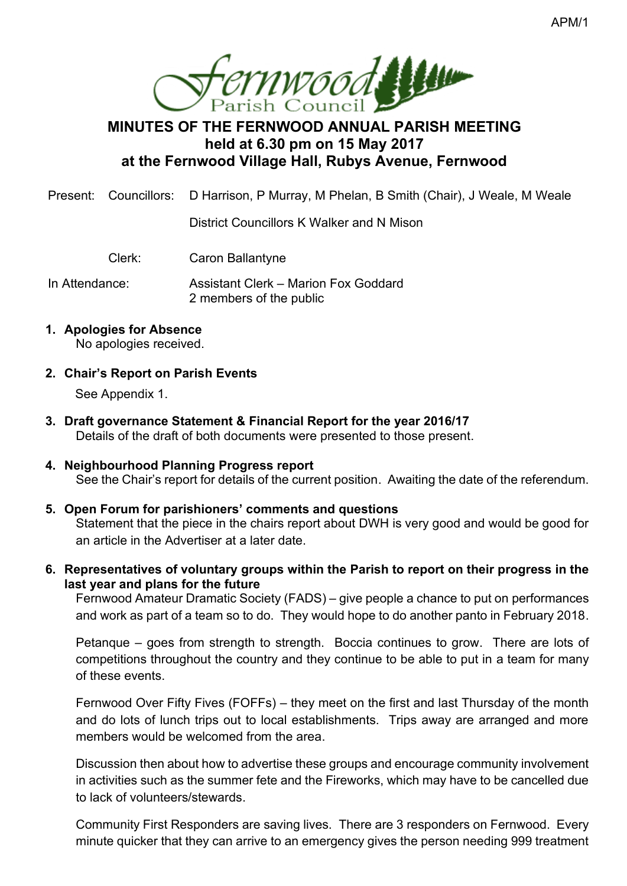

## **MINUTES OF THE FERNWOOD ANNUAL PARISH MEETING held at 6.30 pm on 15 May 2017 at the Fernwood Village Hall, Rubys Avenue, Fernwood**

Present: Councillors: D Harrison, P Murray, M Phelan, B Smith (Chair), J Weale, M Weale

District Councillors K Walker and N Mison

Clerk: Caron Ballantyne

In Attendance: Assistant Clerk – Marion Fox Goddard 2 members of the public

**1. Apologies for Absence**

No apologies received.

**2. Chair's Report on Parish Events**

See Appendix 1.

- **3. Draft governance Statement & Financial Report for the year 2016/17** Details of the draft of both documents were presented to those present.
- **4. Neighbourhood Planning Progress report** See the Chair's report for details of the current position. Awaiting the date of the referendum.
- **5. Open Forum for parishioners' comments and questions** Statement that the piece in the chairs report about DWH is very good and would be good for an article in the Advertiser at a later date.
- **6. Representatives of voluntary groups within the Parish to report on their progress in the last year and plans for the future**

Fernwood Amateur Dramatic Society (FADS) – give people a chance to put on performances and work as part of a team so to do. They would hope to do another panto in February 2018.

Petanque – goes from strength to strength. Boccia continues to grow. There are lots of competitions throughout the country and they continue to be able to put in a team for many of these events.

Fernwood Over Fifty Fives (FOFFs) – they meet on the first and last Thursday of the month and do lots of lunch trips out to local establishments. Trips away are arranged and more members would be welcomed from the area.

Discussion then about how to advertise these groups and encourage community involvement in activities such as the summer fete and the Fireworks, which may have to be cancelled due to lack of volunteers/stewards.

Community First Responders are saving lives. There are 3 responders on Fernwood. Every minute quicker that they can arrive to an emergency gives the person needing 999 treatment